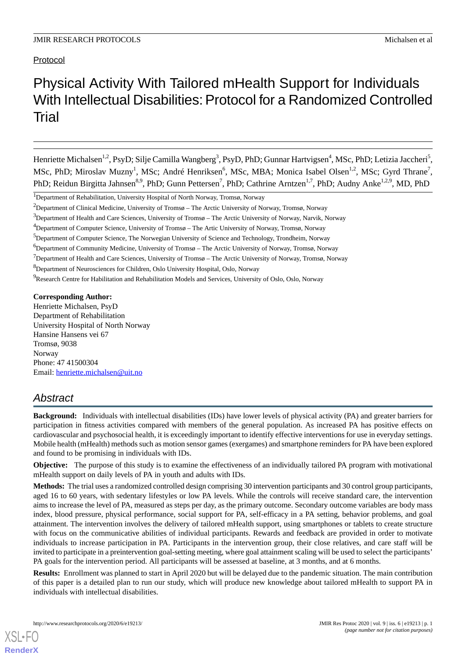# Physical Activity With Tailored mHealth Support for Individuals With Intellectual Disabilities: Protocol for a Randomized Controlled Trial

Henriette Michalsen<sup>1,2</sup>, PsyD; Silje Camilla Wangberg<sup>3</sup>, PsyD, PhD; Gunnar Hartvigsen<sup>4</sup>, MSc, PhD; Letizia Jaccheri<sup>5</sup>, MSc, PhD; Miroslav Muzny<sup>1</sup>, MSc; André Henriksen<sup>6</sup>, MSc, MBA; Monica Isabel Olsen<sup>1,2</sup>, MSc; Gyrd Thrane<sup>7</sup>, PhD; Reidun Birgitta Jahnsen<sup>8,9</sup>, PhD; Gunn Pettersen<sup>7</sup>, PhD; Cathrine Arntzen<sup>1,7</sup>, PhD; Audny Anke<sup>1,2,9</sup>, MD, PhD

<sup>9</sup>Research Centre for Habilitation and Rehabilitation Models and Services, University of Oslo, Oslo, Norway

**Corresponding Author:**

Henriette Michalsen, PsyD Department of Rehabilitation University Hospital of North Norway Hansine Hansens vei 67 Tromsø, 9038 Norway Phone: 47 41500304 Email: [henriette.michalsen@uit.no](mailto:henriette.michalsen@uit.no)

## *Abstract*

**Background:** Individuals with intellectual disabilities (IDs) have lower levels of physical activity (PA) and greater barriers for participation in fitness activities compared with members of the general population. As increased PA has positive effects on cardiovascular and psychosocial health, it is exceedingly important to identify effective interventions for use in everyday settings. Mobile health (mHealth) methods such as motion sensor games (exergames) and smartphone reminders for PA have been explored and found to be promising in individuals with IDs.

**Objective:** The purpose of this study is to examine the effectiveness of an individually tailored PA program with motivational mHealth support on daily levels of PA in youth and adults with IDs.

**Methods:** The trial uses a randomized controlled design comprising 30 intervention participants and 30 control group participants, aged 16 to 60 years, with sedentary lifestyles or low PA levels. While the controls will receive standard care, the intervention aims to increase the level of PA, measured as steps per day, as the primary outcome. Secondary outcome variables are body mass index, blood pressure, physical performance, social support for PA, self-efficacy in a PA setting, behavior problems, and goal attainment. The intervention involves the delivery of tailored mHealth support, using smartphones or tablets to create structure with focus on the communicative abilities of individual participants. Rewards and feedback are provided in order to motivate individuals to increase participation in PA. Participants in the intervention group, their close relatives, and care staff will be invited to participate in a preintervention goal-setting meeting, where goal attainment scaling will be used to select the participants' PA goals for the intervention period. All participants will be assessed at baseline, at 3 months, and at 6 months.

**Results:** Enrollment was planned to start in April 2020 but will be delayed due to the pandemic situation. The main contribution of this paper is a detailed plan to run our study, which will produce new knowledge about tailored mHealth to support PA in individuals with intellectual disabilities.

<sup>1</sup>Department of Rehabilitation, University Hospital of North Norway, Tromsø, Norway

<sup>&</sup>lt;sup>2</sup>Department of Clinical Medicine, University of Tromsø – The Arctic University of Norway, Tromsø, Norway

<sup>3</sup>Department of Health and Care Sciences, University of Tromsø – The Arctic University of Norway, Narvik, Norway

<sup>4</sup>Department of Computer Science, University of Tromsø – The Artic University of Norway, Tromsø, Norway

<sup>5</sup>Department of Computer Science, The Norwegian University of Science and Technology, Trondheim, Norway

 $6D$ epartment of Community Medicine, University of Tromsø – The Arctic University of Norway, Tromsø, Norway

 $<sup>7</sup>$ Department of Health and Care Sciences, University of Tromsø – The Arctic University of Norway, Tromsø, Norway</sup>

<sup>8</sup>Department of Neurosciences for Children, Oslo University Hospital, Oslo, Norway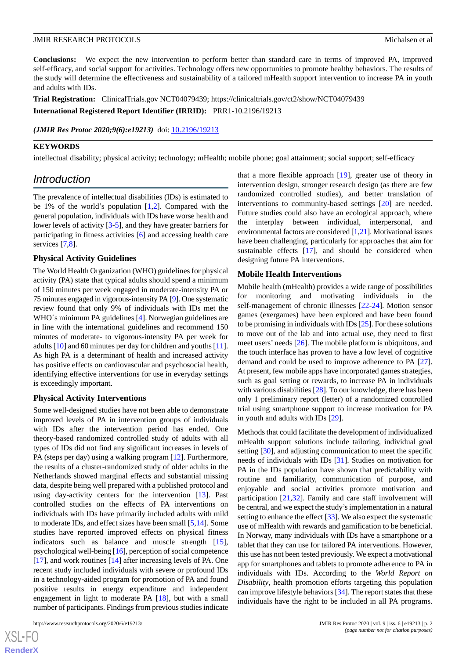**Conclusions:** We expect the new intervention to perform better than standard care in terms of improved PA, improved self-efficacy, and social support for activities. Technology offers new opportunities to promote healthy behaviors. The results of the study will determine the effectiveness and sustainability of a tailored mHealth support intervention to increase PA in youth and adults with IDs.

**Trial Registration:** ClinicalTrials.gov NCT04079439; https://clinicaltrials.gov/ct2/show/NCT04079439 **International Registered Report Identifier (IRRID):** PRR1-10.2196/19213

(JMIR Res Protoc 2020;9(6):e19213) doi: [10.2196/19213](http://dx.doi.org/10.2196/19213)

#### **KEYWORDS**

intellectual disability; physical activity; technology; mHealth; mobile phone; goal attainment; social support; self-efficacy

### *Introduction*

The prevalence of intellectual disabilities (IDs) is estimated to be 1% of the world's population [\[1](#page-7-0),[2\]](#page-7-1). Compared with the general population, individuals with IDs have worse health and lower levels of activity [[3-](#page-7-2)[5\]](#page-7-3), and they have greater barriers for participating in fitness activities [[6\]](#page-7-4) and accessing health care services [[7,](#page-7-5)[8](#page-7-6)].

#### **Physical Activity Guidelines**

The World Health Organization (WHO) guidelines for physical activity (PA) state that typical adults should spend a minimum of 150 minutes per week engaged in moderate-intensity PA or 75 minutes engaged in vigorous-intensity PA [\[9\]](#page-7-7). One systematic review found that only 9% of individuals with IDs met the WHO´s minimum PA guidelines [\[4](#page-7-8)]. Norwegian guidelines are in line with the international guidelines and recommend 150 minutes of moderate- to vigorous-intensity PA per week for adults [[10\]](#page-7-9) and 60 minutes per day for children and youths [[11\]](#page-7-10). As high PA is a determinant of health and increased activity has positive effects on cardiovascular and psychosocial health, identifying effective interventions for use in everyday settings is exceedingly important.

#### **Physical Activity Interventions**

Some well-designed studies have not been able to demonstrate improved levels of PA in intervention groups of individuals with IDs after the intervention period has ended. One theory-based randomized controlled study of adults with all types of IDs did not find any significant increases in levels of PA (steps per day) using a walking program [\[12](#page-7-11)]. Furthermore, the results of a cluster-randomized study of older adults in the Netherlands showed marginal effects and substantial missing data, despite being well prepared with a published protocol and using day-activity centers for the intervention [\[13](#page-7-12)]. Past controlled studies on the effects of PA interventions on individuals with IDs have primarily included adults with mild to moderate IDs, and effect sizes have been small [\[5](#page-7-3),[14\]](#page-7-13). Some studies have reported improved effects on physical fitness indicators such as balance and muscle strength [[15\]](#page-8-0), psychological well-being [\[16](#page-8-1)], perception of social competence [[17\]](#page-8-2), and work routines [[14\]](#page-7-13) after increasing levels of PA. One recent study included individuals with severe or profound IDs in a technology-aided program for promotion of PA and found positive results in energy expenditure and independent engagement in light to moderate PA [\[18](#page-8-3)], but with a small number of participants. Findings from previous studies indicate

that a more flexible approach [\[19](#page-8-4)], greater use of theory in intervention design, stronger research design (as there are few randomized controlled studies), and better translation of interventions to community-based settings [\[20](#page-8-5)] are needed. Future studies could also have an ecological approach, where the interplay between individual, interpersonal, and environmental factors are considered [\[1](#page-7-0),[21](#page-8-6)]. Motivational issues have been challenging, particularly for approaches that aim for sustainable effects [\[17](#page-8-2)], and should be considered when designing future PA interventions.

#### **Mobile Health Interventions**

Mobile health (mHealth) provides a wide range of possibilities for monitoring and motivating individuals in the self-management of chronic illnesses [[22-](#page-8-7)[24](#page-8-8)]. Motion sensor games (exergames) have been explored and have been found to be promising in individuals with IDs [\[25](#page-8-9)]. For these solutions to move out of the lab and into actual use, they need to first meet users' needs [\[26](#page-8-10)]. The mobile platform is ubiquitous, and the touch interface has proven to have a low level of cognitive demand and could be used to improve adherence to PA [[27\]](#page-8-11). At present, few mobile apps have incorporated games strategies, such as goal setting or rewards, to increase PA in individuals with various disabilities [\[28](#page-8-12)]. To our knowledge, there has been only 1 preliminary report (letter) of a randomized controlled trial using smartphone support to increase motivation for PA in youth and adults with IDs [\[29](#page-8-13)].

Methods that could facilitate the development of individualized mHealth support solutions include tailoring, individual goal setting [\[30](#page-8-14)], and adjusting communication to meet the specific needs of individuals with IDs [\[31](#page-8-15)]. Studies on motivation for PA in the IDs population have shown that predictability with routine and familiarity, communication of purpose, and enjoyable and social activities promote motivation and participation [\[21](#page-8-6),[32\]](#page-8-16). Family and care staff involvement will be central, and we expect the study's implementation in a natural setting to enhance the effect [\[33](#page-8-17)]. We also expect the systematic use of mHealth with rewards and gamification to be beneficial. In Norway, many individuals with IDs have a smartphone or a tablet that they can use for tailored PA interventions. However, this use has not been tested previously. We expect a motivational app for smartphones and tablets to promote adherence to PA in individuals with IDs. According to the *World Report on Disability*, health promotion efforts targeting this population can improve lifestyle behaviors [\[34](#page-8-18)]. The report states that these individuals have the right to be included in all PA programs.

```
XS-FO
RenderX
```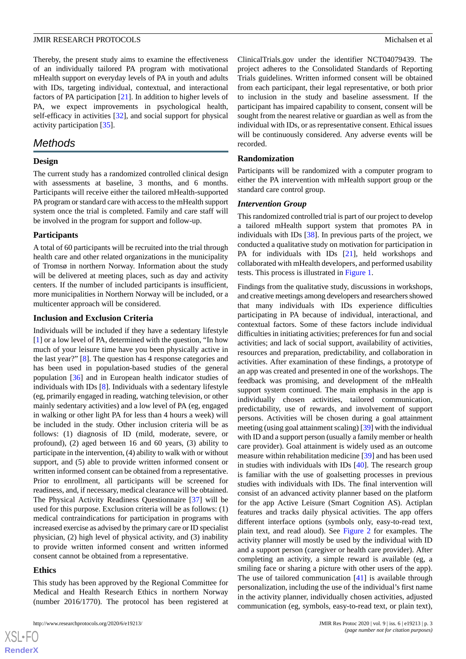Thereby, the present study aims to examine the effectiveness of an individually tailored PA program with motivational mHealth support on everyday levels of PA in youth and adults with IDs, targeting individual, contextual, and interactional factors of PA participation [\[21](#page-8-6)]. In addition to higher levels of PA, we expect improvements in psychological health, self-efficacy in activities [[32\]](#page-8-16), and social support for physical activity participation [\[35](#page-8-19)].

## *Methods*

#### **Design**

The current study has a randomized controlled clinical design with assessments at baseline, 3 months, and 6 months. Participants will receive either the tailored mHealth-supported PA program or standard care with access to the mHealth support system once the trial is completed. Family and care staff will be involved in the program for support and follow-up.

#### **Participants**

A total of 60 participants will be recruited into the trial through health care and other related organizations in the municipality of Tromsø in northern Norway. Information about the study will be delivered at meeting places, such as day and activity centers. If the number of included participants is insufficient, more municipalities in Northern Norway will be included, or a multicenter approach will be considered.

#### **Inclusion and Exclusion Criteria**

Individuals will be included if they have a sedentary lifestyle [[1\]](#page-7-0) or a low level of PA, determined with the question, "In how much of your leisure time have you been physically active in the last year?" [[8\]](#page-7-6). The question has 4 response categories and has been used in population-based studies of the general population [[36\]](#page-8-20) and in European health indicator studies of individuals with IDs [\[8](#page-7-6)]. Individuals with a sedentary lifestyle (eg, primarily engaged in reading, watching television, or other mainly sedentary activities) and a low level of PA (eg, engaged in walking or other light PA for less than 4 hours a week) will be included in the study. Other inclusion criteria will be as follows: (1) diagnosis of ID (mild, moderate, severe, or profound), (2) aged between 16 and 60 years, (3) ability to participate in the intervention, (4) ability to walk with or without support, and (5) able to provide written informed consent or written informed consent can be obtained from a representative. Prior to enrollment, all participants will be screened for readiness, and, if necessary, medical clearance will be obtained. The Physical Activity Readiness Questionnaire [\[37](#page-9-0)] will be used for this purpose. Exclusion criteria will be as follows: (1) medical contraindications for participation in programs with increased exercise as advised by the primary care or ID specialist physician, (2) high level of physical activity, and (3) inability to provide written informed consent and written informed consent cannot be obtained from a representative.

#### **Ethics**

This study has been approved by the Regional Committee for Medical and Health Research Ethics in northern Norway (number 2016/1770). The protocol has been registered at ClinicalTrials.gov under the identifier NCT04079439. The project adheres to the Consolidated Standards of Reporting Trials guidelines. Written informed consent will be obtained from each participant, their legal representative, or both prior to inclusion in the study and baseline assessment. If the participant has impaired capability to consent, consent will be sought from the nearest relative or guardian as well as from the individual with IDs, or as representative consent. Ethical issues will be continuously considered. Any adverse events will be recorded.

#### **Randomization**

Participants will be randomized with a computer program to either the PA intervention with mHealth support group or the standard care control group.

#### *Intervention Group*

This randomized controlled trial is part of our project to develop a tailored mHealth support system that promotes PA in individuals with IDs [\[38](#page-9-1)]. In previous parts of the project, we conducted a qualitative study on motivation for participation in PA for individuals with IDs [\[21](#page-8-6)], held workshops and collaborated with mHealth developers, and performed usability tests. This process is illustrated in [Figure 1.](#page-3-0)

Findings from the qualitative study, discussions in workshops, and creative meetings among developers and researchers showed that many individuals with IDs experience difficulties participating in PA because of individual, interactional, and contextual factors. Some of these factors include individual difficulties in initiating activities; preferences for fun and social activities; and lack of social support, availability of activities, resources and preparation, predictability, and collaboration in activities. After examination of these findings, a prototype of an app was created and presented in one of the workshops. The feedback was promising, and development of the mHealth support system continued. The main emphasis in the app is individually chosen activities, tailored communication, predictability, use of rewards, and involvement of support persons. Activities will be chosen during a goal attainment meeting (using goal attainment scaling) [[39\]](#page-9-2) with the individual with ID and a support person (usually a family member or health care provider). Goal attainment is widely used as an outcome measure within rehabilitation medicine [\[39](#page-9-2)] and has been used in studies with individuals with IDs [\[40](#page-9-3)]. The research group is familiar with the use of goalsetting processes in previous studies with individuals with IDs. The final intervention will consist of an advanced activity planner based on the platform for the app Active Leisure (Smart Cognition AS). Actiplan features and tracks daily physical activities. The app offers different interface options (symbols only, easy-to-read text, plain text, and read aloud). See [Figure 2](#page-3-1) for examples. The activity planner will mostly be used by the individual with ID and a support person (caregiver or health care provider). After completing an activity, a simple reward is available (eg, a smiling face or sharing a picture with other users of the app). The use of tailored communication [\[41](#page-9-4)] is available through personalization, including the use of the individual's first name in the activity planner, individually chosen activities, adjusted communication (eg, symbols, easy-to-read text, or plain text),

 $XS$  $\cdot$ FC **[RenderX](http://www.renderx.com/)**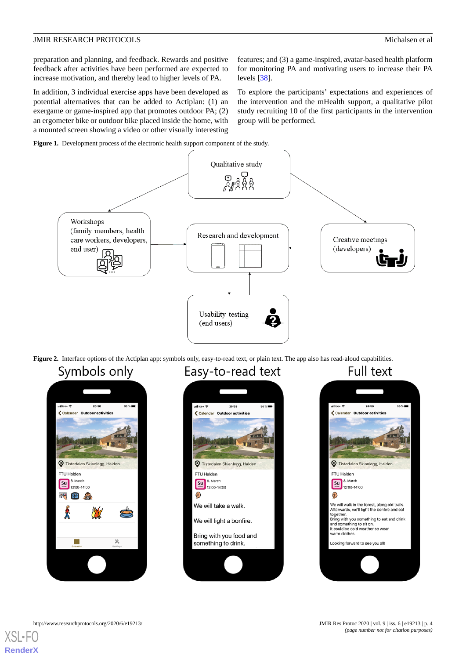preparation and planning, and feedback. Rewards and positive feedback after activities have been performed are expected to increase motivation, and thereby lead to higher levels of PA.

In addition, 3 individual exercise apps have been developed as potential alternatives that can be added to Actiplan: (1) an exergame or game-inspired app that promotes outdoor PA; (2) an ergometer bike or outdoor bike placed inside the home, with a mounted screen showing a video or other visually interesting

features; and (3) a game-inspired, avatar-based health platform for monitoring PA and motivating users to increase their PA levels [\[38](#page-9-1)].

To explore the participants' expectations and experiences of the intervention and the mHealth support, a qualitative pilot study recruiting 10 of the first participants in the intervention group will be performed.

<span id="page-3-0"></span>



<span id="page-3-1"></span>**Figure 2.** Interface options of the Actiplan app: symbols only, easy-to-read text, or plain text. The app also has read-aloud capabilities.

## Symbols only







 $XS$ -FO **[RenderX](http://www.renderx.com/)**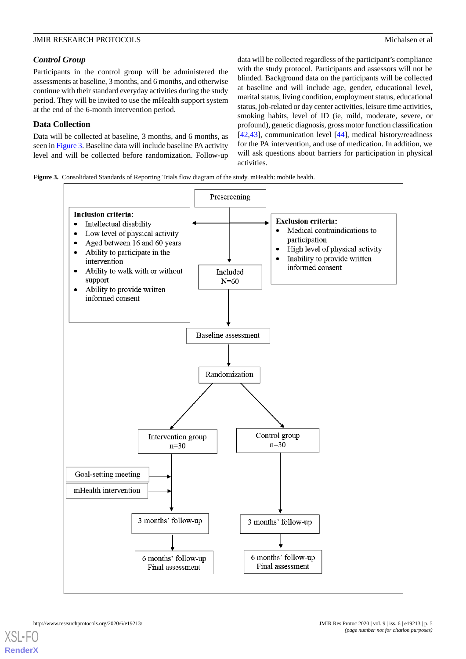#### *Control Group*

Participants in the control group will be administered the assessments at baseline, 3 months, and 6 months, and otherwise continue with their standard everyday activities during the study period. They will be invited to use the mHealth support system at the end of the 6-month intervention period.

#### **Data Collection**

Data will be collected at baseline, 3 months, and 6 months, as seen in [Figure 3](#page-4-0). Baseline data will include baseline PA activity level and will be collected before randomization. Follow-up data will be collected regardless of the participant's compliance with the study protocol. Participants and assessors will not be blinded. Background data on the participants will be collected at baseline and will include age, gender, educational level, marital status, living condition, employment status, educational status, job-related or day center activities, leisure time activities, smoking habits, level of ID (ie, mild, moderate, severe, or profound), genetic diagnosis, gross motor function classification [[42,](#page-9-5)[43\]](#page-9-6), communication level [\[44](#page-9-7)], medical history/readiness for the PA intervention, and use of medication. In addition, we will ask questions about barriers for participation in physical activities.

<span id="page-4-0"></span>**Figure 3.** Consolidated Standards of Reporting Trials flow diagram of the study. mHealth: mobile health.

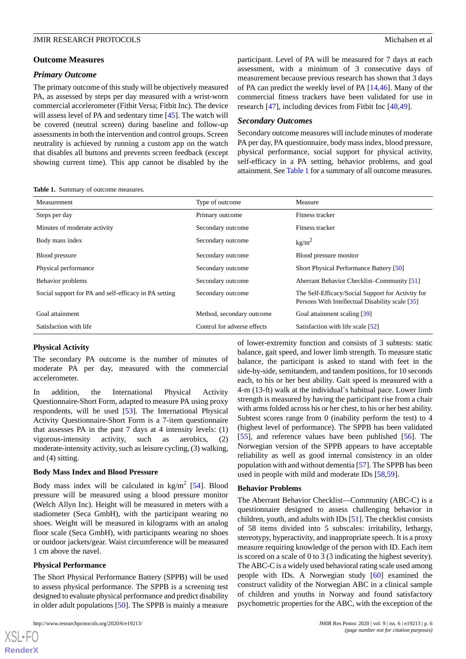#### *Primary Outcome*

The primary outcome of this study will be objectively measured PA, as assessed by steps per day measured with a wrist-worn commercial accelerometer (Fitbit Versa; Fitbit Inc). The device will assess level of PA and sedentary time [\[45](#page-9-8)]. The watch will be covered (neutral screen) during baseline and follow-up assessments in both the intervention and control groups. Screen neutrality is achieved by running a custom app on the watch that disables all buttons and prevents screen feedback (except showing current time). This app cannot be disabled by the

participant. Level of PA will be measured for 7 days at each assessment, with a minimum of 3 consecutive days of measurement because previous research has shown that 3 days of PA can predict the weekly level of PA [[14](#page-7-13)[,46](#page-9-9)]. Many of the commercial fitness trackers have been validated for use in research [[47\]](#page-9-10), including devices from Fitbit Inc [\[48](#page-9-11),[49\]](#page-9-12).

#### *Secondary Outcomes*

Secondary outcome measures will include minutes of moderate PA per day, PA questionnaire, body mass index, blood pressure, physical performance, social support for physical activity, self-efficacy in a PA setting, behavior problems, and goal attainment. See [Table 1](#page-5-0) for a summary of all outcome measures.

<span id="page-5-0"></span>**Table 1.** Summary of outcome measures.

| Measurement                                           | Type of outcome             | Measure                                                                                              |
|-------------------------------------------------------|-----------------------------|------------------------------------------------------------------------------------------------------|
| Steps per day                                         | Primary outcome             | Fitness tracker                                                                                      |
| Minutes of moderate activity                          | Secondary outcome           | Fitness tracker                                                                                      |
| Body mass index                                       | Secondary outcome           | kg/m <sup>2</sup>                                                                                    |
| Blood pressure                                        | Secondary outcome           | Blood pressure monitor                                                                               |
| Physical performance                                  | Secondary outcome           | Short Physical Performance Battery [50]                                                              |
| Behavior problems                                     | Secondary outcome           | Aberrant Behavior Checklist–Community [51]                                                           |
| Social support for PA and self-efficacy in PA setting | Secondary outcome           | The Self-Efficacy/Social Support for Activity for<br>Persons With Intellectual Disability scale [35] |
| Goal attainment                                       | Method, secondary outcome   | Goal attainment scaling [39]                                                                         |
| Satisfaction with life                                | Control for adverse effects | Satisfaction with life scale [52]                                                                    |

#### **Physical Activity**

The secondary PA outcome is the number of minutes of moderate PA per day, measured with the commercial accelerometer.

In addition, the International Physical Activity Questionnaire-Short Form, adapted to measure PA using proxy respondents, will be used [[53\]](#page-9-16). The International Physical Activity Questionnaire-Short Form is a 7-item questionnaire that assesses PA in the past 7 days at 4 intensity levels: (1) vigorous-intensity activity, such as aerobics, (2) moderate-intensity activity, such as leisure cycling, (3) walking, and (4) sitting.

#### **Body Mass Index and Blood Pressure**

Body mass index will be calculated in  $\text{kg/m}^2$  [\[54](#page-9-17)]. Blood pressure will be measured using a blood pressure monitor (Welch Allyn Inc). Height will be measured in meters with a stadiometer (Seca GmbH), with the participant wearing no shoes. Weight will be measured in kilograms with an analog floor scale (Seca GmbH), with participants wearing no shoes or outdoor jackets/gear. Waist circumference will be measured 1 cm above the navel.

#### **Physical Performance**

[XSL](http://www.w3.org/Style/XSL)•FO **[RenderX](http://www.renderx.com/)**

The Short Physical Performance Battery (SPPB) will be used to assess physical performance. The SPPB is a screening test designed to evaluate physical performance and predict disability in older adult populations [\[50](#page-9-13)]. The SPPB is mainly a measure

of lower-extremity function and consists of 3 subtests: static balance, gait speed, and lower limb strength. To measure static balance, the participant is asked to stand with feet in the side-by-side, semitandem, and tandem positions, for 10 seconds each, to his or her best ability. Gait speed is measured with a 4-m (13-ft) walk at the individual´s habitual pace. Lower limb strength is measured by having the participant rise from a chair with arms folded across his or her chest, to his or her best ability. Subtest scores range from 0 (inability perform the test) to 4 (highest level of performance). The SPPB has been validated [[55\]](#page-9-18), and reference values have been published [\[56](#page-9-19)]. The Norwegian version of the SPPB appears to have acceptable reliability as well as good internal consistency in an older population with and without dementia [\[57](#page-9-20)]. The SPPB has been used in people with mild and moderate IDs [[58](#page-9-21)[,59](#page-10-0)].

#### **Behavior Problems**

The Aberrant Behavior Checklist—Community (ABC-C) is a questionnaire designed to assess challenging behavior in children, youth, and adults with IDs [\[51\]](#page-9-14). The checklist consists of 58 items divided into 5 subscales: irritability, lethargy, stereotypy, hyperactivity, and inappropriate speech. It is a proxy measure requiring knowledge of the person with ID. Each item is scored on a scale of 0 to 3 (3 indicating the highest severity). The ABC-C is a widely used behavioral rating scale used among people with IDs. A Norwegian study [[60\]](#page-10-1) examined the construct validity of the Norwegian ABC in a clinical sample of children and youths in Norway and found satisfactory psychometric properties for the ABC, with the exception of the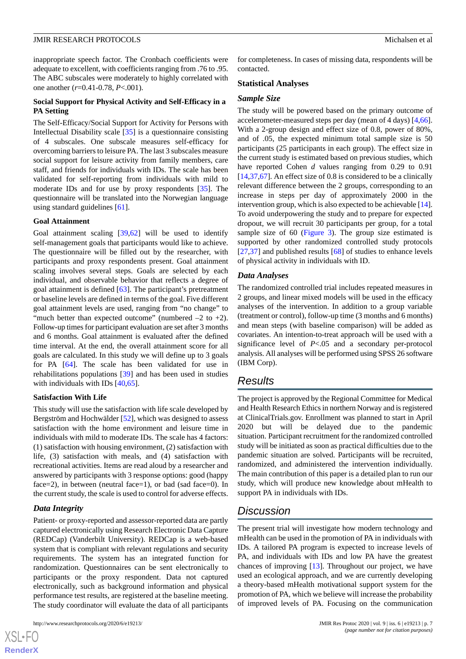inappropriate speech factor. The Cronbach coefficients were adequate to excellent, with coefficients ranging from .76 to .95. The ABC subscales were moderately to highly correlated with one another (*r*=0.41-0.78, *P*<.001).

#### **Social Support for Physical Activity and Self-Efficacy in a PA Setting**

The Self-Efficacy/Social Support for Activity for Persons with Intellectual Disability scale [[35\]](#page-8-19) is a questionnaire consisting of 4 subscales. One subscale measures self-efficacy for overcoming barriers to leisure PA. The last 3 subscales measure social support for leisure activity from family members, care staff, and friends for individuals with IDs. The scale has been validated for self-reporting from individuals with mild to moderate IDs and for use by proxy respondents [[35\]](#page-8-19). The questionnaire will be translated into the Norwegian language using standard guidelines [\[61](#page-10-2)].

#### **Goal Attainment**

Goal attainment scaling [[39,](#page-9-2)[62](#page-10-3)] will be used to identify self-management goals that participants would like to achieve. The questionnaire will be filled out by the researcher, with participants and proxy respondents present. Goal attainment scaling involves several steps. Goals are selected by each individual, and observable behavior that reflects a degree of goal attainment is defined [\[63](#page-10-4)]. The participant's pretreatment or baseline levels are defined in terms of the goal. Five different goal attainment levels are used, ranging from "no change" to "much better than expected outcome" (numbered  $-2$  to  $+2$ ). Follow-up times for participant evaluation are set after 3 months and 6 months. Goal attainment is evaluated after the defined time interval. At the end, the overall attainment score for all goals are calculated. In this study we will define up to 3 goals for PA [\[64](#page-10-5)]. The scale has been validated for use in rehabilitations populations [[39\]](#page-9-2) and has been used in studies with individuals with IDs [\[40](#page-9-3),[65\]](#page-10-6).

#### **Satisfaction With Life**

This study will use the satisfaction with life scale developed by Bergström and Hochwälder [[52\]](#page-9-15), which was designed to assess satisfaction with the home environment and leisure time in individuals with mild to moderate IDs. The scale has 4 factors: (1) satisfaction with housing environment, (2) satisfaction with life, (3) satisfaction with meals, and (4) satisfaction with recreational activities. Items are read aloud by a researcher and answered by participants with 3 response options: good (happy face=2), in between (neutral face=1), or bad (sad face=0). In the current study, the scale is used to control for adverse effects.

#### *Data Integrity*

 $XS$  $\cdot$ FC **[RenderX](http://www.renderx.com/)**

Patient- or proxy-reported and assessor-reported data are partly captured electronically using Research Electronic Data Capture (REDCap) (Vanderbilt University). REDCap is a web-based system that is compliant with relevant regulations and security requirements. The system has an integrated function for randomization. Questionnaires can be sent electronically to participants or the proxy respondent. Data not captured electronically, such as background information and physical performance test results, are registered at the baseline meeting. The study coordinator will evaluate the data of all participants

for completeness. In cases of missing data, respondents will be contacted.

#### **Statistical Analyses**

#### *Sample Size*

The study will be powered based on the primary outcome of accelerometer-measured steps per day (mean of 4 days) [\[4](#page-7-8),[66\]](#page-10-7). With a 2-group design and effect size of 0.8, power of 80%, and of .05, the expected minimum total sample size is 50 participants (25 participants in each group). The effect size in the current study is estimated based on previous studies, which have reported Cohen *d* values ranging from 0.29 to 0.91 [[14,](#page-7-13)[37,](#page-9-0)[67\]](#page-10-8). An effect size of 0.8 is considered to be a clinically relevant difference between the 2 groups, corresponding to an increase in steps per day of approximately 2000 in the intervention group, which is also expected to be achievable [\[14](#page-7-13)]. To avoid underpowering the study and to prepare for expected dropout, we will recruit 30 participants per group, for a total sample size of 60 [\(Figure 3\)](#page-4-0). The group size estimated is supported by other randomized controlled study protocols [[27,](#page-8-11)[37\]](#page-9-0) and published results [\[68](#page-10-9)] of studies to enhance levels of physical activity in individuals with ID.

#### *Data Analyses*

The randomized controlled trial includes repeated measures in 2 groups, and linear mixed models will be used in the efficacy analyses of the intervention. In addition to a group variable (treatment or control), follow-up time (3 months and 6 months) and mean steps (with baseline comparison) will be added as covariates. An intention-to-treat approach will be used with a significance level of *P*<.05 and a secondary per-protocol analysis. All analyses will be performed using SPSS 26 software (IBM Corp).

## *Results*

The project is approved by the Regional Committee for Medical and Health Research Ethics in northern Norway and is registered at ClinicalTrials.gov. Enrollment was planned to start in April 2020 but will be delayed due to the pandemic situation. Participant recruitment for the randomized controlled study will be initiated as soon as practical difficulties due to the pandemic situation are solved. Participants will be recruited, randomized, and administered the intervention individually. The main contribution of this paper is a detailed plan to run our study, which will produce new knowledge about mHealth to support PA in individuals with IDs.

## *Discussion*

The present trial will investigate how modern technology and mHealth can be used in the promotion of PA in individuals with IDs. A tailored PA program is expected to increase levels of PA, and individuals with IDs and low PA have the greatest chances of improving [[13\]](#page-7-12). Throughout our project, we have used an ecological approach, and we are currently developing a theory-based mHealth motivational support system for the promotion of PA, which we believe will increase the probability of improved levels of PA. Focusing on the communication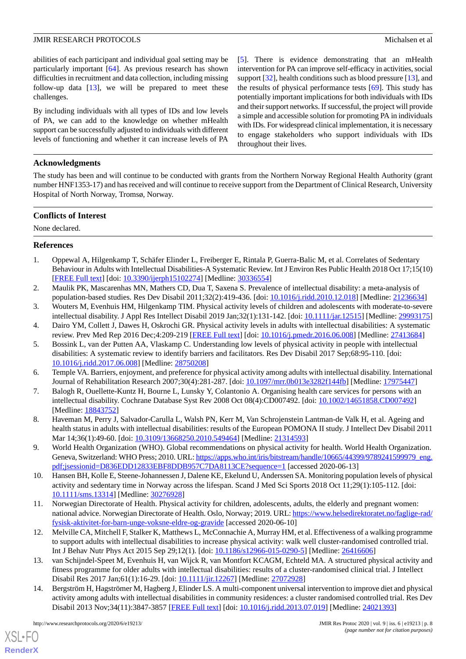abilities of each participant and individual goal setting may be particularly important [[64\]](#page-10-5). As previous research has shown difficulties in recruitment and data collection, including missing follow-up data [[13\]](#page-7-12), we will be prepared to meet these challenges.

By including individuals with all types of IDs and low levels of PA, we can add to the knowledge on whether mHealth support can be successfully adjusted to individuals with different levels of functioning and whether it can increase levels of PA [[5\]](#page-7-3). There is evidence demonstrating that an mHealth intervention for PA can improve self-efficacy in activities, social support [[32\]](#page-8-16), health conditions such as blood pressure [\[13](#page-7-12)], and the results of physical performance tests [\[69](#page-10-10)]. This study has potentially important implications for both individuals with IDs and their support networks. If successful, the project will provide a simple and accessible solution for promoting PA in individuals with IDs. For widespread clinical implementation, it is necessary to engage stakeholders who support individuals with IDs throughout their lives.

#### **Acknowledgments**

The study has been and will continue to be conducted with grants from the Northern Norway Regional Health Authority (grant number HNF1353-17) and has received and will continue to receive support from the Department of Clinical Research, University Hospital of North Norway, Tromsø, Norway.

#### **Conflicts of Interest**

<span id="page-7-0"></span>None declared.

#### **References**

- <span id="page-7-1"></span>1. Oppewal A, Hilgenkamp T, Schäfer Elinder L, Freiberger E, Rintala P, Guerra-Balic M, et al. Correlates of Sedentary Behaviour in Adults with Intellectual Disabilities-A Systematic Review. Int J Environ Res Public Health 2018 Oct 17;15(10) [[FREE Full text](https://www.mdpi.com/resolver?pii=ijerph15102274)] [doi: [10.3390/ijerph15102274](http://dx.doi.org/10.3390/ijerph15102274)] [Medline: [30336554\]](http://www.ncbi.nlm.nih.gov/entrez/query.fcgi?cmd=Retrieve&db=PubMed&list_uids=30336554&dopt=Abstract)
- <span id="page-7-8"></span><span id="page-7-2"></span>2. Maulik PK, Mascarenhas MN, Mathers CD, Dua T, Saxena S. Prevalence of intellectual disability: a meta-analysis of population-based studies. Res Dev Disabil 2011;32(2):419-436. [doi: [10.1016/j.ridd.2010.12.018\]](http://dx.doi.org/10.1016/j.ridd.2010.12.018) [Medline: [21236634](http://www.ncbi.nlm.nih.gov/entrez/query.fcgi?cmd=Retrieve&db=PubMed&list_uids=21236634&dopt=Abstract)]
- <span id="page-7-3"></span>3. Wouters M, Evenhuis HM, Hilgenkamp TIM. Physical activity levels of children and adolescents with moderate-to-severe intellectual disability. J Appl Res Intellect Disabil 2019 Jan;32(1):131-142. [doi: [10.1111/jar.12515\]](http://dx.doi.org/10.1111/jar.12515) [Medline: [29993175](http://www.ncbi.nlm.nih.gov/entrez/query.fcgi?cmd=Retrieve&db=PubMed&list_uids=29993175&dopt=Abstract)]
- 4. Dairo YM, Collett J, Dawes H, Oskrochi GR. Physical activity levels in adults with intellectual disabilities: A systematic review. Prev Med Rep 2016 Dec;4:209-219 [[FREE Full text](https://linkinghub.elsevier.com/retrieve/pii/S2211-3355(16)30058-4)] [doi: [10.1016/j.pmedr.2016.06.008\]](http://dx.doi.org/10.1016/j.pmedr.2016.06.008) [Medline: [27413684](http://www.ncbi.nlm.nih.gov/entrez/query.fcgi?cmd=Retrieve&db=PubMed&list_uids=27413684&dopt=Abstract)]
- <span id="page-7-5"></span><span id="page-7-4"></span>5. Bossink L, van der Putten AA, Vlaskamp C. Understanding low levels of physical activity in people with intellectual disabilities: A systematic review to identify barriers and facilitators. Res Dev Disabil 2017 Sep;68:95-110. [doi: [10.1016/j.ridd.2017.06.008\]](http://dx.doi.org/10.1016/j.ridd.2017.06.008) [Medline: [28750208\]](http://www.ncbi.nlm.nih.gov/entrez/query.fcgi?cmd=Retrieve&db=PubMed&list_uids=28750208&dopt=Abstract)
- <span id="page-7-6"></span>6. Temple VA. Barriers, enjoyment, and preference for physical activity among adults with intellectual disability. International Journal of Rehabilitation Research 2007;30(4):281-287. [doi: [10.1097/mrr.0b013e3282f144fb](http://dx.doi.org/10.1097/mrr.0b013e3282f144fb)] [Medline: [17975447](http://www.ncbi.nlm.nih.gov/entrez/query.fcgi?cmd=Retrieve&db=PubMed&list_uids=17975447&dopt=Abstract)]
- <span id="page-7-7"></span>7. Balogh R, Ouellette-Kuntz H, Bourne L, Lunsky Y, Colantonio A. Organising health care services for persons with an intellectual disability. Cochrane Database Syst Rev 2008 Oct 08(4):CD007492. [doi: [10.1002/14651858.CD007492\]](http://dx.doi.org/10.1002/14651858.CD007492) [Medline: [18843752](http://www.ncbi.nlm.nih.gov/entrez/query.fcgi?cmd=Retrieve&db=PubMed&list_uids=18843752&dopt=Abstract)]
- <span id="page-7-9"></span>8. Haveman M, Perry J, Salvador-Carulla L, Walsh PN, Kerr M, Van Schrojenstein Lantman-de Valk H, et al. Ageing and health status in adults with intellectual disabilities: results of the European POMONA II study. J Intellect Dev Disabil 2011 Mar 14;36(1):49-60. [doi: [10.3109/13668250.2010.549464\]](http://dx.doi.org/10.3109/13668250.2010.549464) [Medline: [21314593\]](http://www.ncbi.nlm.nih.gov/entrez/query.fcgi?cmd=Retrieve&db=PubMed&list_uids=21314593&dopt=Abstract)
- <span id="page-7-10"></span>9. World Health Organization (WHO). Global recommendations on physical activity for health. World Health Organization. Geneva, Switzerland: WHO Press; 2010. URL: [https://apps.who.int/iris/bitstream/handle/10665/44399/9789241599979\\_eng.](https://apps.who.int/iris/bitstream/handle/10665/44399/9789241599979_eng.pdf;jsessionid=D836EDD12833EBF8DDB957C7DA8113CE?sequence=1) [pdf;jsessionid=D836EDD12833EBF8DDB957C7DA8113CE?sequence=1](https://apps.who.int/iris/bitstream/handle/10665/44399/9789241599979_eng.pdf;jsessionid=D836EDD12833EBF8DDB957C7DA8113CE?sequence=1) [accessed 2020-06-13]
- <span id="page-7-11"></span>10. Hansen BH, Kolle E, Steene-Johannessen J, Dalene KE, Ekelund U, Anderssen SA. Monitoring population levels of physical activity and sedentary time in Norway across the lifespan. Scand J Med Sci Sports 2018 Oct 11;29(1):105-112. [doi: [10.1111/sms.13314\]](http://dx.doi.org/10.1111/sms.13314) [Medline: [30276928\]](http://www.ncbi.nlm.nih.gov/entrez/query.fcgi?cmd=Retrieve&db=PubMed&list_uids=30276928&dopt=Abstract)
- <span id="page-7-12"></span>11. Norwegian Directorate of Health. Physical activity for children, adolescents, adults, the elderly and pregnant women: national advice. Norwegian Directorate of Health. Oslo, Norway; 2019. URL: [https://www.helsedirektoratet.no/faglige-rad/](https://www.helsedirektoratet.no/faglige-rad/fysisk-aktivitet-for-barn-unge-voksne-eldre-og-gravide) [fysisk-aktivitet-for-barn-unge-voksne-eldre-og-gravide](https://www.helsedirektoratet.no/faglige-rad/fysisk-aktivitet-for-barn-unge-voksne-eldre-og-gravide) [accessed 2020-06-10]
- <span id="page-7-13"></span>12. Melville CA, Mitchell F, Stalker K, Matthews L, McConnachie A, Murray HM, et al. Effectiveness of a walking programme to support adults with intellectual disabilities to increase physical activity: walk well cluster-randomised controlled trial. Int J Behav Nutr Phys Act 2015 Sep 29;12(1). [doi: [10.1186/s12966-015-0290-5](http://dx.doi.org/10.1186/s12966-015-0290-5)] [Medline: [26416606\]](http://www.ncbi.nlm.nih.gov/entrez/query.fcgi?cmd=Retrieve&db=PubMed&list_uids=26416606&dopt=Abstract)
- 13. van Schijndel-Speet M, Evenhuis H, van Wijck R, van Montfort KCAGM, Echteld MA. A structured physical activity and fitness programme for older adults with intellectual disabilities: results of a cluster-randomised clinical trial. J Intellect Disabil Res 2017 Jan;61(1):16-29. [doi: [10.1111/jir.12267](http://dx.doi.org/10.1111/jir.12267)] [Medline: [27072928](http://www.ncbi.nlm.nih.gov/entrez/query.fcgi?cmd=Retrieve&db=PubMed&list_uids=27072928&dopt=Abstract)]
- 14. Bergström H, Hagströmer M, Hagberg J, Elinder LS. A multi-component universal intervention to improve diet and physical activity among adults with intellectual disabilities in community residences: a cluster randomised controlled trial. Res Dev Disabil 2013 Nov;34(11):3847-3857 [[FREE Full text](https://linkinghub.elsevier.com/retrieve/pii/S0891-4222(13)00320-X)] [doi: [10.1016/j.ridd.2013.07.019\]](http://dx.doi.org/10.1016/j.ridd.2013.07.019) [Medline: [24021393](http://www.ncbi.nlm.nih.gov/entrez/query.fcgi?cmd=Retrieve&db=PubMed&list_uids=24021393&dopt=Abstract)]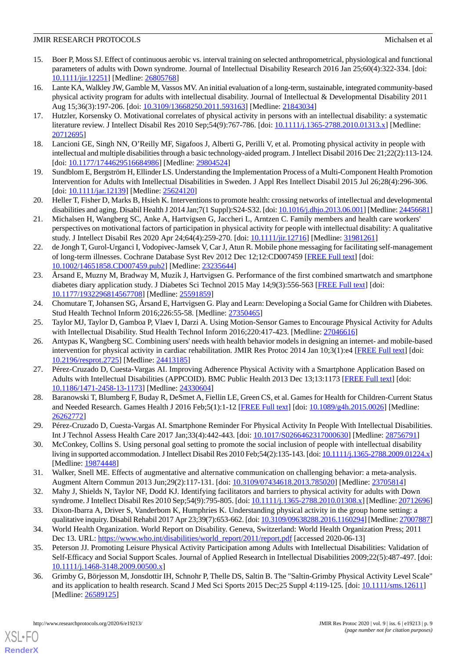- <span id="page-8-0"></span>15. Boer P, Moss SJ. Effect of continuous aerobic vs. interval training on selected anthropometrical, physiological and functional parameters of adults with Down syndrome. Journal of Intellectual Disability Research 2016 Jan 25;60(4):322-334. [doi: [10.1111/jir.12251\]](http://dx.doi.org/10.1111/jir.12251) [Medline: [26805768](http://www.ncbi.nlm.nih.gov/entrez/query.fcgi?cmd=Retrieve&db=PubMed&list_uids=26805768&dopt=Abstract)]
- <span id="page-8-1"></span>16. Lante KA, Walkley JW, Gamble M, Vassos MV. An initial evaluation of a long-term, sustainable, integrated community-based physical activity program for adults with intellectual disability. Journal of Intellectual & Developmental Disability 2011 Aug 15;36(3):197-206. [doi: [10.3109/13668250.2011.593163\]](http://dx.doi.org/10.3109/13668250.2011.593163) [Medline: [21843034](http://www.ncbi.nlm.nih.gov/entrez/query.fcgi?cmd=Retrieve&db=PubMed&list_uids=21843034&dopt=Abstract)]
- <span id="page-8-3"></span><span id="page-8-2"></span>17. Hutzler, Korsensky O. Motivational correlates of physical activity in persons with an intellectual disability: a systematic literature review. J Intellect Disabil Res 2010 Sep;54(9):767-786. [doi: [10.1111/j.1365-2788.2010.01313.x\]](http://dx.doi.org/10.1111/j.1365-2788.2010.01313.x) [Medline: [20712695](http://www.ncbi.nlm.nih.gov/entrez/query.fcgi?cmd=Retrieve&db=PubMed&list_uids=20712695&dopt=Abstract)]
- <span id="page-8-4"></span>18. Lancioni GE, Singh NN, O'Reilly MF, Sigafoos J, Alberti G, Perilli V, et al. Promoting physical activity in people with intellectual and multiple disabilities through a basic technology-aided program. J Intellect Disabil 2016 Dec 21;22(2):113-124. [doi: [10.1177/1744629516684986](http://dx.doi.org/10.1177/1744629516684986)] [Medline: [29804524\]](http://www.ncbi.nlm.nih.gov/entrez/query.fcgi?cmd=Retrieve&db=PubMed&list_uids=29804524&dopt=Abstract)
- <span id="page-8-5"></span>19. Sundblom E, Bergström H, Ellinder LS. Understanding the Implementation Process of a Multi-Component Health Promotion Intervention for Adults with Intellectual Disabilities in Sweden. J Appl Res Intellect Disabil 2015 Jul 26;28(4):296-306. [doi: [10.1111/jar.12139\]](http://dx.doi.org/10.1111/jar.12139) [Medline: [25624120](http://www.ncbi.nlm.nih.gov/entrez/query.fcgi?cmd=Retrieve&db=PubMed&list_uids=25624120&dopt=Abstract)]
- <span id="page-8-6"></span>20. Heller T, Fisher D, Marks B, Hsieh K. Interventions to promote health: crossing networks of intellectual and developmental disabilities and aging. Disabil Health J 2014 Jan;7(1 Suppl):S24-S32. [doi: [10.1016/j.dhjo.2013.06.001\]](http://dx.doi.org/10.1016/j.dhjo.2013.06.001) [Medline: [24456681\]](http://www.ncbi.nlm.nih.gov/entrez/query.fcgi?cmd=Retrieve&db=PubMed&list_uids=24456681&dopt=Abstract)
- <span id="page-8-7"></span>21. Michalsen H, Wangberg SC, Anke A, Hartvigsen G, Jaccheri L, Arntzen C. Family members and health care workers' perspectives on motivational factors of participation in physical activity for people with intellectual disability: A qualitative study. J Intellect Disabil Res 2020 Apr 24;64(4):259-270. [doi: [10.1111/jir.12716\]](http://dx.doi.org/10.1111/jir.12716) [Medline: [31981261\]](http://www.ncbi.nlm.nih.gov/entrez/query.fcgi?cmd=Retrieve&db=PubMed&list_uids=31981261&dopt=Abstract)
- 22. de Jongh T, Gurol-Urganci I, Vodopivec-Jamsek V, Car J, Atun R. Mobile phone messaging for facilitating self-management of long-term illnesses. Cochrane Database Syst Rev 2012 Dec 12;12:CD007459 [[FREE Full text](http://europepmc.org/abstract/MED/23235644)] [doi: [10.1002/14651858.CD007459.pub2\]](http://dx.doi.org/10.1002/14651858.CD007459.pub2) [Medline: [23235644](http://www.ncbi.nlm.nih.gov/entrez/query.fcgi?cmd=Retrieve&db=PubMed&list_uids=23235644&dopt=Abstract)]
- <span id="page-8-8"></span>23. Årsand E, Muzny M, Bradway M, Muzik J, Hartvigsen G. Performance of the first combined smartwatch and smartphone diabetes diary application study. J Diabetes Sci Technol 2015 May 14;9(3):556-563 [\[FREE Full text\]](http://europepmc.org/abstract/MED/25591859) [doi: [10.1177/1932296814567708\]](http://dx.doi.org/10.1177/1932296814567708) [Medline: [25591859\]](http://www.ncbi.nlm.nih.gov/entrez/query.fcgi?cmd=Retrieve&db=PubMed&list_uids=25591859&dopt=Abstract)
- <span id="page-8-10"></span><span id="page-8-9"></span>24. Chomutare T, Johansen SG, Årsand E, Hartvigsen G. Play and Learn: Developing a Social Game for Children with Diabetes. Stud Health Technol Inform 2016;226:55-58. [Medline: [27350465](http://www.ncbi.nlm.nih.gov/entrez/query.fcgi?cmd=Retrieve&db=PubMed&list_uids=27350465&dopt=Abstract)]
- 25. Taylor MJ, Taylor D, Gamboa P, Vlaev I, Darzi A. Using Motion-Sensor Games to Encourage Physical Activity for Adults with Intellectual Disability. Stud Health Technol Inform 2016;220:417-423. [Medline: [27046616\]](http://www.ncbi.nlm.nih.gov/entrez/query.fcgi?cmd=Retrieve&db=PubMed&list_uids=27046616&dopt=Abstract)
- <span id="page-8-11"></span>26. Antypas K, Wangberg SC. Combining users' needs with health behavior models in designing an internet- and mobile-based intervention for physical activity in cardiac rehabilitation. JMIR Res Protoc 2014 Jan 10;3(1):e4 [[FREE Full text](https://www.researchprotocols.org/2014/1/e4/)] [doi: [10.2196/resprot.2725](http://dx.doi.org/10.2196/resprot.2725)] [Medline: [24413185\]](http://www.ncbi.nlm.nih.gov/entrez/query.fcgi?cmd=Retrieve&db=PubMed&list_uids=24413185&dopt=Abstract)
- <span id="page-8-12"></span>27. Pérez-Cruzado D, Cuesta-Vargas AI. Improving Adherence Physical Activity with a Smartphone Application Based on Adults with Intellectual Disabilities (APPCOID). BMC Public Health 2013 Dec 13;13:1173 [\[FREE Full text\]](https://bmcpublichealth.biomedcentral.com/articles/10.1186/1471-2458-13-1173) [doi: [10.1186/1471-2458-13-1173\]](http://dx.doi.org/10.1186/1471-2458-13-1173) [Medline: [24330604\]](http://www.ncbi.nlm.nih.gov/entrez/query.fcgi?cmd=Retrieve&db=PubMed&list_uids=24330604&dopt=Abstract)
- <span id="page-8-14"></span><span id="page-8-13"></span>28. Baranowski T, Blumberg F, Buday R, DeSmet A, Fiellin LE, Green CS, et al. Games for Health for Children-Current Status and Needed Research. Games Health J 2016 Feb;5(1):1-12 [[FREE Full text](http://europepmc.org/abstract/MED/26262772)] [doi: [10.1089/g4h.2015.0026\]](http://dx.doi.org/10.1089/g4h.2015.0026) [Medline: [26262772](http://www.ncbi.nlm.nih.gov/entrez/query.fcgi?cmd=Retrieve&db=PubMed&list_uids=26262772&dopt=Abstract)]
- <span id="page-8-15"></span>29. Pérez-Cruzado D, Cuesta-Vargas AI. Smartphone Reminder For Physical Activity In People With Intellectual Disabilities. Int J Technol Assess Health Care 2017 Jan;33(4):442-443. [doi: [10.1017/S0266462317000630\]](http://dx.doi.org/10.1017/S0266462317000630) [Medline: [28756791\]](http://www.ncbi.nlm.nih.gov/entrez/query.fcgi?cmd=Retrieve&db=PubMed&list_uids=28756791&dopt=Abstract)
- <span id="page-8-16"></span>30. McConkey, Collins S. Using personal goal setting to promote the social inclusion of people with intellectual disability living in supported accommodation. J Intellect Disabil Res 2010 Feb; 54(2): 135-143. [doi: [10.1111/j.1365-2788.2009.01224.x](http://dx.doi.org/10.1111/j.1365-2788.2009.01224.x)] [Medline: [19874448](http://www.ncbi.nlm.nih.gov/entrez/query.fcgi?cmd=Retrieve&db=PubMed&list_uids=19874448&dopt=Abstract)]
- <span id="page-8-18"></span><span id="page-8-17"></span>31. Walker, Snell ME. Effects of augmentative and alternative communication on challenging behavior: a meta-analysis. Augment Altern Commun 2013 Jun;29(2):117-131. [doi: [10.3109/07434618.2013.785020\]](http://dx.doi.org/10.3109/07434618.2013.785020) [Medline: [23705814](http://www.ncbi.nlm.nih.gov/entrez/query.fcgi?cmd=Retrieve&db=PubMed&list_uids=23705814&dopt=Abstract)]
- <span id="page-8-19"></span>32. Mahy J, Shields N, Taylor NF, Dodd KJ. Identifying facilitators and barriers to physical activity for adults with Down syndrome. J Intellect Disabil Res 2010 Sep;54(9):795-805. [doi: [10.1111/j.1365-2788.2010.01308.x\]](http://dx.doi.org/10.1111/j.1365-2788.2010.01308.x) [Medline: [20712696](http://www.ncbi.nlm.nih.gov/entrez/query.fcgi?cmd=Retrieve&db=PubMed&list_uids=20712696&dopt=Abstract)]
- 33. Dixon-Ibarra A, Driver S, Vanderbom K, Humphries K. Understanding physical activity in the group home setting: a qualitative inquiry. Disabil Rehabil 2017 Apr 23;39(7):653-662. [doi: [10.3109/09638288.2016.1160294](http://dx.doi.org/10.3109/09638288.2016.1160294)] [Medline: [27007887\]](http://www.ncbi.nlm.nih.gov/entrez/query.fcgi?cmd=Retrieve&db=PubMed&list_uids=27007887&dopt=Abstract)
- <span id="page-8-20"></span>34. World Health Organization. World Report on Disability. Geneva, Switzerland: World Health Organization Press; 2011 Dec 13. URL: [https://www.who.int/disabilities/world\\_report/2011/report.pdf](https://www.who.int/disabilities/world_report/2011/report.pdf) [accessed 2020-06-13]
- 35. Peterson JJ. Promoting Leisure Physical Activity Participation among Adults with Intellectual Disabilities: Validation of Self-Efficacy and Social Support Scales. Journal of Applied Research in Intellectual Disabilities 2009;22(5):487-497. [doi: [10.1111/j.1468-3148.2009.00500.x\]](http://dx.doi.org/10.1111/j.1468-3148.2009.00500.x)
- 36. Grimby G, Börjesson M, Jonsdottir IH, Schnohr P, Thelle DS, Saltin B. The "Saltin-Grimby Physical Activity Level Scale" and its application to health research. Scand J Med Sci Sports 2015 Dec;25 Suppl 4:119-125. [doi: [10.1111/sms.12611\]](http://dx.doi.org/10.1111/sms.12611) [Medline: [26589125](http://www.ncbi.nlm.nih.gov/entrez/query.fcgi?cmd=Retrieve&db=PubMed&list_uids=26589125&dopt=Abstract)]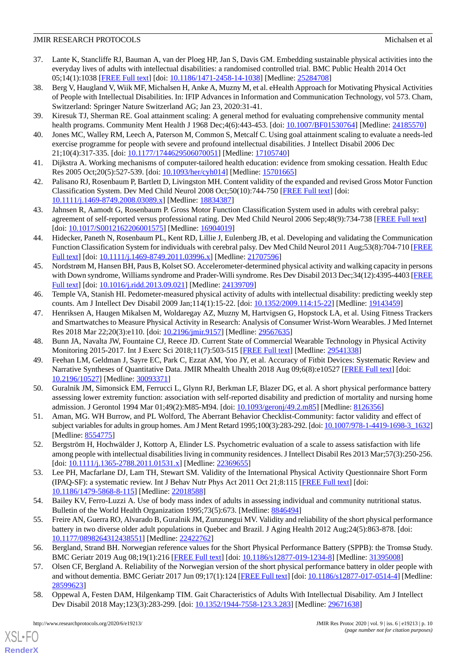- <span id="page-9-0"></span>37. Lante K, Stancliffe RJ, Bauman A, van der Ploeg HP, Jan S, Davis GM. Embedding sustainable physical activities into the everyday lives of adults with intellectual disabilities: a randomised controlled trial. BMC Public Health 2014 Oct 05;14(1):1038 [[FREE Full text\]](https://bmcpublichealth.biomedcentral.com/articles/10.1186/1471-2458-14-1038) [doi: [10.1186/1471-2458-14-1038](http://dx.doi.org/10.1186/1471-2458-14-1038)] [Medline: [25284708](http://www.ncbi.nlm.nih.gov/entrez/query.fcgi?cmd=Retrieve&db=PubMed&list_uids=25284708&dopt=Abstract)]
- <span id="page-9-1"></span>38. Berg V, Haugland V, Wiik MF, Michalsen H, Anke A, Muzny M, et al. eHealth Approach for Motivating Physical Activities of People with Intellectual Disabilities. In: IFIP Advances in Information and Communication Technology, vol 573. Cham, Switzerland: Springer Nature Switzerland AG; Jan 23, 2020:31-41.
- <span id="page-9-3"></span><span id="page-9-2"></span>39. Kiresuk TJ, Sherman RE. Goal attainment scaling: A general method for evaluating comprehensive community mental health programs. Community Ment Health J 1968 Dec;4(6):443-453. [doi: [10.1007/BF01530764\]](http://dx.doi.org/10.1007/BF01530764) [Medline: [24185570\]](http://www.ncbi.nlm.nih.gov/entrez/query.fcgi?cmd=Retrieve&db=PubMed&list_uids=24185570&dopt=Abstract)
- <span id="page-9-4"></span>40. Jones MC, Walley RM, Leech A, Paterson M, Common S, Metcalf C. Using goal attainment scaling to evaluate a needs-led exercise programme for people with severe and profound intellectual disabilities. J Intellect Disabil 2006 Dec 21;10(4):317-335. [doi: [10.1177/1744629506070051\]](http://dx.doi.org/10.1177/1744629506070051) [Medline: [17105740](http://www.ncbi.nlm.nih.gov/entrez/query.fcgi?cmd=Retrieve&db=PubMed&list_uids=17105740&dopt=Abstract)]
- <span id="page-9-5"></span>41. Dijkstra A. Working mechanisms of computer-tailored health education: evidence from smoking cessation. Health Educ Res 2005 Oct;20(5):527-539. [doi: [10.1093/her/cyh014](http://dx.doi.org/10.1093/her/cyh014)] [Medline: [15701665\]](http://www.ncbi.nlm.nih.gov/entrez/query.fcgi?cmd=Retrieve&db=PubMed&list_uids=15701665&dopt=Abstract)
- <span id="page-9-6"></span>42. Palisano RJ, Rosenbaum P, Bartlett D, Livingston MH. Content validity of the expanded and revised Gross Motor Function Classification System. Dev Med Child Neurol 2008 Oct;50(10):744-750 [\[FREE Full text\]](https://doi.org/10.1111/j.1469-8749.2008.03089.x) [doi: [10.1111/j.1469-8749.2008.03089.x\]](http://dx.doi.org/10.1111/j.1469-8749.2008.03089.x) [Medline: [18834387\]](http://www.ncbi.nlm.nih.gov/entrez/query.fcgi?cmd=Retrieve&db=PubMed&list_uids=18834387&dopt=Abstract)
- <span id="page-9-7"></span>43. Jahnsen R, Aamodt G, Rosenbaum P. Gross Motor Function Classification System used in adults with cerebral palsy: agreement of self-reported versus professional rating. Dev Med Child Neurol 2006 Sep;48(9):734-738 [\[FREE Full text\]](https://doi.org/10.1017/S0012162206001575) [doi: [10.1017/S0012162206001575\]](http://dx.doi.org/10.1017/S0012162206001575) [Medline: [16904019](http://www.ncbi.nlm.nih.gov/entrez/query.fcgi?cmd=Retrieve&db=PubMed&list_uids=16904019&dopt=Abstract)]
- <span id="page-9-8"></span>44. Hidecker, Paneth N, Rosenbaum PL, Kent RD, Lillie J, Eulenberg JB, et al. Developing and validating the Communication Function Classification System for individuals with cerebral palsy. Dev Med Child Neurol 2011 Aug;53(8):704-710 [\[FREE](https://doi.org/10.1111/j.1469-8749.2011.03996.x) [Full text\]](https://doi.org/10.1111/j.1469-8749.2011.03996.x) [doi: [10.1111/j.1469-8749.2011.03996.x\]](http://dx.doi.org/10.1111/j.1469-8749.2011.03996.x) [Medline: [21707596](http://www.ncbi.nlm.nih.gov/entrez/query.fcgi?cmd=Retrieve&db=PubMed&list_uids=21707596&dopt=Abstract)]
- <span id="page-9-9"></span>45. Nordstrøm M, Hansen BH, Paus B, Kolset SO. Accelerometer-determined physical activity and walking capacity in persons with Down syndrome, Williams syndrome and Prader-Willi syndrome. Res Dev Disabil 2013 Dec;34(12):4395-4403 [\[FREE](https://linkinghub.elsevier.com/retrieve/pii/S0891-4222(13)00415-0) [Full text\]](https://linkinghub.elsevier.com/retrieve/pii/S0891-4222(13)00415-0) [doi: [10.1016/j.ridd.2013.09.021](http://dx.doi.org/10.1016/j.ridd.2013.09.021)] [Medline: [24139709](http://www.ncbi.nlm.nih.gov/entrez/query.fcgi?cmd=Retrieve&db=PubMed&list_uids=24139709&dopt=Abstract)]
- <span id="page-9-10"></span>46. Temple VA, Stanish HI. Pedometer-measured physical activity of adults with intellectual disability: predicting weekly step counts. Am J Intellect Dev Disabil 2009 Jan;114(1):15-22. [doi: [10.1352/2009.114:15-22\]](http://dx.doi.org/10.1352/2009.114:15-22) [Medline: [19143459\]](http://www.ncbi.nlm.nih.gov/entrez/query.fcgi?cmd=Retrieve&db=PubMed&list_uids=19143459&dopt=Abstract)
- <span id="page-9-12"></span><span id="page-9-11"></span>47. Henriksen A, Haugen Mikalsen M, Woldaregay AZ, Muzny M, Hartvigsen G, Hopstock LA, et al. Using Fitness Trackers and Smartwatches to Measure Physical Activity in Research: Analysis of Consumer Wrist-Worn Wearables. J Med Internet Res 2018 Mar 22;20(3):e110. [doi: [10.2196/jmir.9157\]](http://dx.doi.org/10.2196/jmir.9157) [Medline: [29567635](http://www.ncbi.nlm.nih.gov/entrez/query.fcgi?cmd=Retrieve&db=PubMed&list_uids=29567635&dopt=Abstract)]
- <span id="page-9-13"></span>48. Bunn JA, Navalta JW, Fountaine CJ, Reece JD. Current State of Commercial Wearable Technology in Physical Activity Monitoring 2015-2017. Int J Exerc Sci 2018;11(7):503-515 [\[FREE Full text\]](http://europepmc.org/abstract/MED/29541338) [Medline: [29541338](http://www.ncbi.nlm.nih.gov/entrez/query.fcgi?cmd=Retrieve&db=PubMed&list_uids=29541338&dopt=Abstract)]
- 49. Feehan LM, Geldman J, Sayre EC, Park C, Ezzat AM, Yoo JY, et al. Accuracy of Fitbit Devices: Systematic Review and Narrative Syntheses of Quantitative Data. JMIR Mhealth Uhealth 2018 Aug 09;6(8):e10527 [\[FREE Full text](http://mhealth.jmir.org/2018/8/e10527/)] [doi: [10.2196/10527\]](http://dx.doi.org/10.2196/10527) [Medline: [30093371\]](http://www.ncbi.nlm.nih.gov/entrez/query.fcgi?cmd=Retrieve&db=PubMed&list_uids=30093371&dopt=Abstract)
- <span id="page-9-15"></span><span id="page-9-14"></span>50. Guralnik JM, Simonsick EM, Ferrucci L, Glynn RJ, Berkman LF, Blazer DG, et al. A short physical performance battery assessing lower extremity function: association with self-reported disability and prediction of mortality and nursing home admission. J Gerontol 1994 Mar 01;49(2):M85-M94. [doi: [10.1093/geronj/49.2.m85](http://dx.doi.org/10.1093/geronj/49.2.m85)] [Medline: [8126356](http://www.ncbi.nlm.nih.gov/entrez/query.fcgi?cmd=Retrieve&db=PubMed&list_uids=8126356&dopt=Abstract)]
- <span id="page-9-16"></span>51. Aman, MG. WH Burrow, and PL Wolford, The Aberrant Behavior Checklist-Community: factor validity and effect of subject variables for adults in group homes. Am J Ment Retard 1995;100(3):283-292. [doi: [10.1007/978-1-4419-1698-3\\_1632\]](http://dx.doi.org/10.1007/978-1-4419-1698-3_1632) [Medline: [8554775\]](http://www.ncbi.nlm.nih.gov/entrez/query.fcgi?cmd=Retrieve&db=PubMed&list_uids=8554775&dopt=Abstract)
- <span id="page-9-17"></span>52. Bergström H, Hochwälder J, Kottorp A, Elinder LS. Psychometric evaluation of a scale to assess satisfaction with life among people with intellectual disabilities living in community residences. J Intellect Disabil Res 2013 Mar;57(3):250-256. [doi: [10.1111/j.1365-2788.2011.01531.x](http://dx.doi.org/10.1111/j.1365-2788.2011.01531.x)] [Medline: [22369655](http://www.ncbi.nlm.nih.gov/entrez/query.fcgi?cmd=Retrieve&db=PubMed&list_uids=22369655&dopt=Abstract)]
- <span id="page-9-18"></span>53. Lee PH, Macfarlane DJ, Lam TH, Stewart SM. Validity of the International Physical Activity Questionnaire Short Form (IPAQ-SF): a systematic review. Int J Behav Nutr Phys Act 2011 Oct 21;8:115 [[FREE Full text](https://ijbnpa.biomedcentral.com/articles/10.1186/1479-5868-8-115)] [doi: [10.1186/1479-5868-8-115\]](http://dx.doi.org/10.1186/1479-5868-8-115) [Medline: [22018588\]](http://www.ncbi.nlm.nih.gov/entrez/query.fcgi?cmd=Retrieve&db=PubMed&list_uids=22018588&dopt=Abstract)
- <span id="page-9-19"></span>54. Bailey KV, Ferro-Luzzi A. Use of body mass index of adults in assessing individual and community nutritional status. Bulletin of the World Health Organization 1995;73(5):673. [Medline: [8846494\]](http://www.ncbi.nlm.nih.gov/entrez/query.fcgi?cmd=Retrieve&db=PubMed&list_uids=8846494&dopt=Abstract)
- <span id="page-9-20"></span>55. Freire AN, Guerra RO, Alvarado B, Guralnik JM, Zunzunegui MV. Validity and reliability of the short physical performance battery in two diverse older adult populations in Quebec and Brazil. J Aging Health 2012 Aug;24(5):863-878. [doi: [10.1177/0898264312438551\]](http://dx.doi.org/10.1177/0898264312438551) [Medline: [22422762\]](http://www.ncbi.nlm.nih.gov/entrez/query.fcgi?cmd=Retrieve&db=PubMed&list_uids=22422762&dopt=Abstract)
- <span id="page-9-21"></span>56. Bergland, Strand BH. Norwegian reference values for the Short Physical Performance Battery (SPPB): the Tromsø Study. BMC Geriatr 2019 Aug 08;19(1):216 [\[FREE Full text\]](https://bmcgeriatr.biomedcentral.com/articles/10.1186/s12877-019-1234-8) [doi: [10.1186/s12877-019-1234-8](http://dx.doi.org/10.1186/s12877-019-1234-8)] [Medline: [31395008\]](http://www.ncbi.nlm.nih.gov/entrez/query.fcgi?cmd=Retrieve&db=PubMed&list_uids=31395008&dopt=Abstract)
- 57. Olsen CF, Bergland A. Reliability of the Norwegian version of the short physical performance battery in older people with and without dementia. BMC Geriatr 2017 Jun 09;17(1):124 [[FREE Full text](https://bmcgeriatr.biomedcentral.com/articles/10.1186/s12877-017-0514-4)] [doi: [10.1186/s12877-017-0514-4\]](http://dx.doi.org/10.1186/s12877-017-0514-4) [Medline: [28599623](http://www.ncbi.nlm.nih.gov/entrez/query.fcgi?cmd=Retrieve&db=PubMed&list_uids=28599623&dopt=Abstract)]
- 58. Oppewal A, Festen DAM, Hilgenkamp TIM. Gait Characteristics of Adults With Intellectual Disability. Am J Intellect Dev Disabil 2018 May;123(3):283-299. [doi: [10.1352/1944-7558-123.3.283\]](http://dx.doi.org/10.1352/1944-7558-123.3.283) [Medline: [29671638](http://www.ncbi.nlm.nih.gov/entrez/query.fcgi?cmd=Retrieve&db=PubMed&list_uids=29671638&dopt=Abstract)]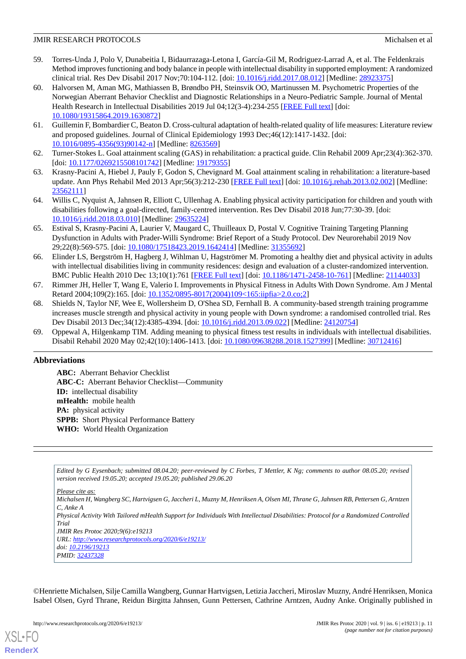- <span id="page-10-0"></span>59. Torres-Unda J, Polo V, Dunabeitia I, Bidaurrazaga-Letona I, García-Gil M, Rodriguez-Larrad A, et al. The Feldenkrais Method improves functioning and body balance in people with intellectual disability in supported employment: A randomized clinical trial. Res Dev Disabil 2017 Nov;70:104-112. [doi: [10.1016/j.ridd.2017.08.012](http://dx.doi.org/10.1016/j.ridd.2017.08.012)] [Medline: [28923375](http://www.ncbi.nlm.nih.gov/entrez/query.fcgi?cmd=Retrieve&db=PubMed&list_uids=28923375&dopt=Abstract)]
- <span id="page-10-1"></span>60. Halvorsen M, Aman MG, Mathiassen B, Brøndbo PH, Steinsvik OO, Martinussen M. Psychometric Properties of the Norwegian Aberrant Behavior Checklist and Diagnostic Relationships in a Neuro-Pediatric Sample. Journal of Mental Health Research in Intellectual Disabilities 2019 Jul 04;12(3-4):234-255 [\[FREE Full text](https://www.tandfonline.com/doi/full/10.1080/19315864.2019.1630872)] [doi: [10.1080/19315864.2019.1630872\]](http://dx.doi.org/10.1080/19315864.2019.1630872)
- <span id="page-10-3"></span><span id="page-10-2"></span>61. Guillemin F, Bombardier C, Beaton D. Cross-cultural adaptation of health-related quality of life measures: Literature review and proposed guidelines. Journal of Clinical Epidemiology 1993 Dec;46(12):1417-1432. [doi: [10.1016/0895-4356\(93\)90142-n](http://dx.doi.org/10.1016/0895-4356(93)90142-n)] [Medline: [8263569\]](http://www.ncbi.nlm.nih.gov/entrez/query.fcgi?cmd=Retrieve&db=PubMed&list_uids=8263569&dopt=Abstract)
- <span id="page-10-4"></span>62. Turner-Stokes L. Goal attainment scaling (GAS) in rehabilitation: a practical guide. Clin Rehabil 2009 Apr;23(4):362-370. [doi: [10.1177/0269215508101742](http://dx.doi.org/10.1177/0269215508101742)] [Medline: [19179355\]](http://www.ncbi.nlm.nih.gov/entrez/query.fcgi?cmd=Retrieve&db=PubMed&list_uids=19179355&dopt=Abstract)
- <span id="page-10-5"></span>63. Krasny-Pacini A, Hiebel J, Pauly F, Godon S, Chevignard M. Goal attainment scaling in rehabilitation: a literature-based update. Ann Phys Rehabil Med 2013 Apr;56(3):212-230 [[FREE Full text](https://linkinghub.elsevier.com/retrieve/pii/S1877-0657(13)00027-4)] [doi: [10.1016/j.rehab.2013.02.002](http://dx.doi.org/10.1016/j.rehab.2013.02.002)] [Medline: [23562111](http://www.ncbi.nlm.nih.gov/entrez/query.fcgi?cmd=Retrieve&db=PubMed&list_uids=23562111&dopt=Abstract)]
- <span id="page-10-6"></span>64. Willis C, Nyquist A, Jahnsen R, Elliott C, Ullenhag A. Enabling physical activity participation for children and youth with disabilities following a goal-directed, family-centred intervention. Res Dev Disabil 2018 Jun;77:30-39. [doi: [10.1016/j.ridd.2018.03.010\]](http://dx.doi.org/10.1016/j.ridd.2018.03.010) [Medline: [29635224\]](http://www.ncbi.nlm.nih.gov/entrez/query.fcgi?cmd=Retrieve&db=PubMed&list_uids=29635224&dopt=Abstract)
- <span id="page-10-7"></span>65. Estival S, Krasny-Pacini A, Laurier V, Maugard C, Thuilleaux D, Postal V. Cognitive Training Targeting Planning Dysfunction in Adults with Prader-Willi Syndrome: Brief Report of a Study Protocol. Dev Neurorehabil 2019 Nov 29;22(8):569-575. [doi: [10.1080/17518423.2019.1642414\]](http://dx.doi.org/10.1080/17518423.2019.1642414) [Medline: [31355692](http://www.ncbi.nlm.nih.gov/entrez/query.fcgi?cmd=Retrieve&db=PubMed&list_uids=31355692&dopt=Abstract)]
- <span id="page-10-8"></span>66. Elinder LS, Bergström H, Hagberg J, Wihlman U, Hagströmer M. Promoting a healthy diet and physical activity in adults with intellectual disabilities living in community residences: design and evaluation of a cluster-randomized intervention. BMC Public Health 2010 Dec 13;10(1):761 [[FREE Full text](https://bmcpublichealth.biomedcentral.com/articles/10.1186/1471-2458-10-761)] [doi: [10.1186/1471-2458-10-761\]](http://dx.doi.org/10.1186/1471-2458-10-761) [Medline: [21144033](http://www.ncbi.nlm.nih.gov/entrez/query.fcgi?cmd=Retrieve&db=PubMed&list_uids=21144033&dopt=Abstract)]
- <span id="page-10-9"></span>67. Rimmer JH, Heller T, Wang E, Valerio I. Improvements in Physical Fitness in Adults With Down Syndrome. Am J Mental Retard 2004;109(2):165. [doi: [10.1352/0895-8017\(2004\)109<165:iipfia>2.0.co;2\]](http://dx.doi.org/10.1352/0895-8017(2004)109<165:iipfia>2.0.co;2)
- <span id="page-10-10"></span>68. Shields N, Taylor NF, Wee E, Wollersheim D, O'Shea SD, Fernhall B. A community-based strength training programme increases muscle strength and physical activity in young people with Down syndrome: a randomised controlled trial. Res Dev Disabil 2013 Dec;34(12):4385-4394. [doi: [10.1016/j.ridd.2013.09.022](http://dx.doi.org/10.1016/j.ridd.2013.09.022)] [Medline: [24120754](http://www.ncbi.nlm.nih.gov/entrez/query.fcgi?cmd=Retrieve&db=PubMed&list_uids=24120754&dopt=Abstract)]
- 69. Oppewal A, Hilgenkamp TIM. Adding meaning to physical fitness test results in individuals with intellectual disabilities. Disabil Rehabil 2020 May 02;42(10):1406-1413. [doi: [10.1080/09638288.2018.1527399](http://dx.doi.org/10.1080/09638288.2018.1527399)] [Medline: [30712416\]](http://www.ncbi.nlm.nih.gov/entrez/query.fcgi?cmd=Retrieve&db=PubMed&list_uids=30712416&dopt=Abstract)

## **Abbreviations**

**ABC:** Aberrant Behavior Checklist **ABC-C:** Aberrant Behavior Checklist—Community **ID:** intellectual disability **mHealth:** mobile health **PA:** physical activity **SPPB:** Short Physical Performance Battery **WHO:** World Health Organization

*Edited by G Eysenbach; submitted 08.04.20; peer-reviewed by C Forbes, T Mettler, K Ng; comments to author 08.05.20; revised version received 19.05.20; accepted 19.05.20; published 29.06.20*

*Please cite as:*

*Michalsen H, Wangberg SC, Hartvigsen G, Jaccheri L, Muzny M, Henriksen A, Olsen MI, Thrane G, Jahnsen RB, Pettersen G, Arntzen C, Anke A Physical Activity With Tailored mHealth Support for Individuals With Intellectual Disabilities: Protocol for a Randomized Controlled Trial JMIR Res Protoc 2020;9(6):e19213 URL: <http://www.researchprotocols.org/2020/6/e19213/> doi: [10.2196/19213](http://dx.doi.org/10.2196/19213)*

*PMID: [32437328](http://www.ncbi.nlm.nih.gov/entrez/query.fcgi?cmd=Retrieve&db=PubMed&list_uids=32437328&dopt=Abstract)*

©Henriette Michalsen, Silje Camilla Wangberg, Gunnar Hartvigsen, Letizia Jaccheri, Miroslav Muzny, André Henriksen, Monica Isabel Olsen, Gyrd Thrane, Reidun Birgitta Jahnsen, Gunn Pettersen, Cathrine Arntzen, Audny Anke. Originally published in